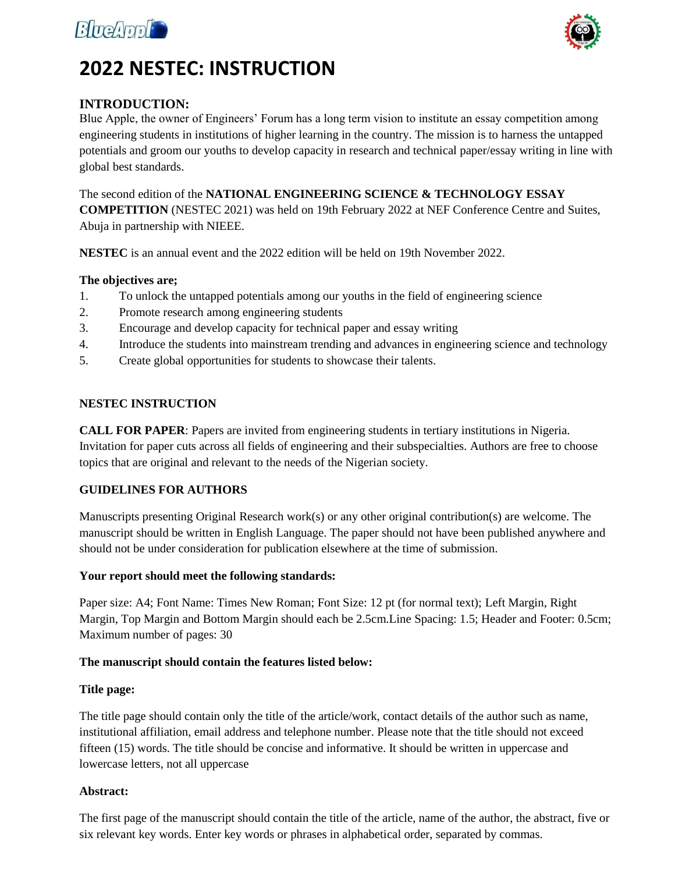



# **2022 NESTEC: INSTRUCTION**

# **INTRODUCTION:**

Blue Apple, the owner of Engineers' Forum has a long term vision to institute an essay competition among engineering students in institutions of higher learning in the country. The mission is to harness the untapped potentials and groom our youths to develop capacity in research and technical paper/essay writing in line with global best standards.

The second edition of the **NATIONAL ENGINEERING SCIENCE & TECHNOLOGY ESSAY COMPETITION** (NESTEC 2021) was held on 19th February 2022 at NEF Conference Centre and Suites, Abuja in partnership with NIEEE.

**NESTEC** is an annual event and the 2022 edition will be held on 19th November 2022.

#### **The objectives are;**

- 1. To unlock the untapped potentials among our youths in the field of engineering science
- 2. Promote research among engineering students
- 3. Encourage and develop capacity for technical paper and essay writing
- 4. Introduce the students into mainstream trending and advances in engineering science and technology
- 5. Create global opportunities for students to showcase their talents.

## **NESTEC INSTRUCTION**

**CALL FOR PAPER**: Papers are invited from engineering students in tertiary institutions in Nigeria. Invitation for paper cuts across all fields of engineering and their subspecialties. Authors are free to choose topics that are original and relevant to the needs of the Nigerian society.

#### **GUIDELINES FOR AUTHORS**

Manuscripts presenting Original Research work(s) or any other original contribution(s) are welcome. The manuscript should be written in English Language. The paper should not have been published anywhere and should not be under consideration for publication elsewhere at the time of submission.

#### **Your report should meet the following standards:**

Paper size: A4; Font Name: Times New Roman; Font Size: 12 pt (for normal text); Left Margin, Right Margin, Top Margin and Bottom Margin should each be 2.5cm.Line Spacing: 1.5; Header and Footer: 0.5cm; Maximum number of pages: 30

#### **The manuscript should contain the features listed below:**

#### **Title page:**

The title page should contain only the title of the article/work, contact details of the author such as name, institutional affiliation, email address and telephone number. Please note that the title should not exceed fifteen (15) words. The title should be concise and informative. It should be written in uppercase and lowercase letters, not all uppercase

#### **Abstract:**

The first page of the manuscript should contain the title of the article, name of the author, the abstract, five or six relevant key words. Enter key words or phrases in alphabetical order, separated by commas.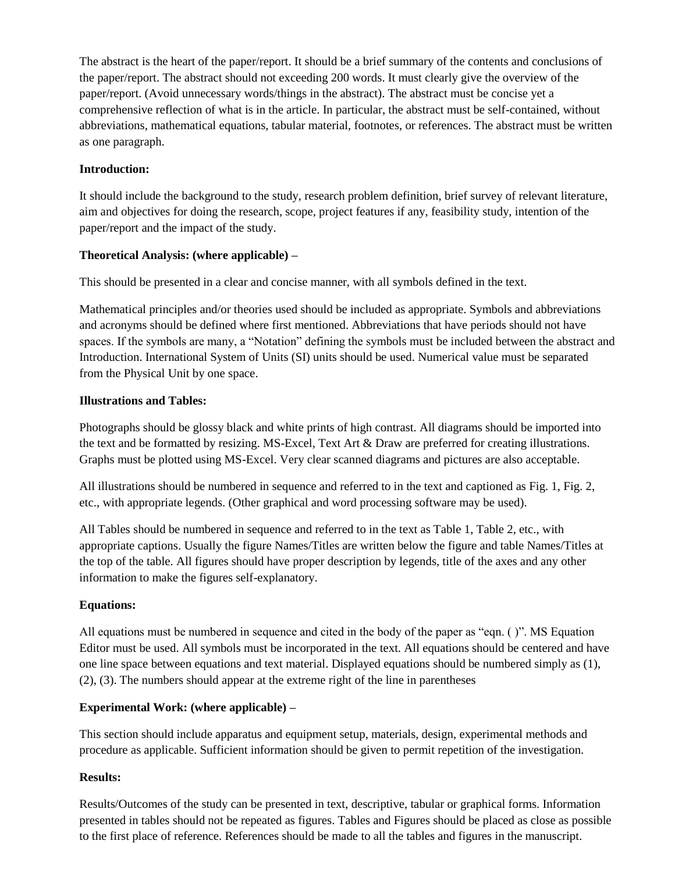The abstract is the heart of the paper/report. It should be a brief summary of the contents and conclusions of the paper/report. The abstract should not exceeding 200 words. It must clearly give the overview of the paper/report. (Avoid unnecessary words/things in the abstract). The abstract must be concise yet a comprehensive reflection of what is in the article. In particular, the abstract must be self-contained, without abbreviations, mathematical equations, tabular material, footnotes, or references. The abstract must be written as one paragraph.

## **Introduction:**

It should include the background to the study, research problem definition, brief survey of relevant literature, aim and objectives for doing the research, scope, project features if any, feasibility study, intention of the paper/report and the impact of the study.

## **Theoretical Analysis: (where applicable) –**

This should be presented in a clear and concise manner, with all symbols defined in the text.

Mathematical principles and/or theories used should be included as appropriate. Symbols and abbreviations and acronyms should be defined where first mentioned. Abbreviations that have periods should not have spaces. If the symbols are many, a "Notation" defining the symbols must be included between the abstract and Introduction. International System of Units (SI) units should be used. Numerical value must be separated from the Physical Unit by one space.

# **Illustrations and Tables:**

Photographs should be glossy black and white prints of high contrast. All diagrams should be imported into the text and be formatted by resizing. MS-Excel, Text Art & Draw are preferred for creating illustrations. Graphs must be plotted using MS-Excel. Very clear scanned diagrams and pictures are also acceptable.

All illustrations should be numbered in sequence and referred to in the text and captioned as Fig. 1, Fig. 2, etc., with appropriate legends. (Other graphical and word processing software may be used).

All Tables should be numbered in sequence and referred to in the text as Table 1, Table 2, etc., with appropriate captions. Usually the figure Names/Titles are written below the figure and table Names/Titles at the top of the table. All figures should have proper description by legends, title of the axes and any other information to make the figures self-explanatory.

## **Equations:**

All equations must be numbered in sequence and cited in the body of the paper as "eqn. ( )". MS Equation Editor must be used. All symbols must be incorporated in the text. All equations should be centered and have one line space between equations and text material. Displayed equations should be numbered simply as (1), (2), (3). The numbers should appear at the extreme right of the line in parentheses

# **Experimental Work: (where applicable) –**

This section should include apparatus and equipment setup, materials, design, experimental methods and procedure as applicable. Sufficient information should be given to permit repetition of the investigation.

## **Results:**

Results/Outcomes of the study can be presented in text, descriptive, tabular or graphical forms. Information presented in tables should not be repeated as figures. Tables and Figures should be placed as close as possible to the first place of reference. References should be made to all the tables and figures in the manuscript.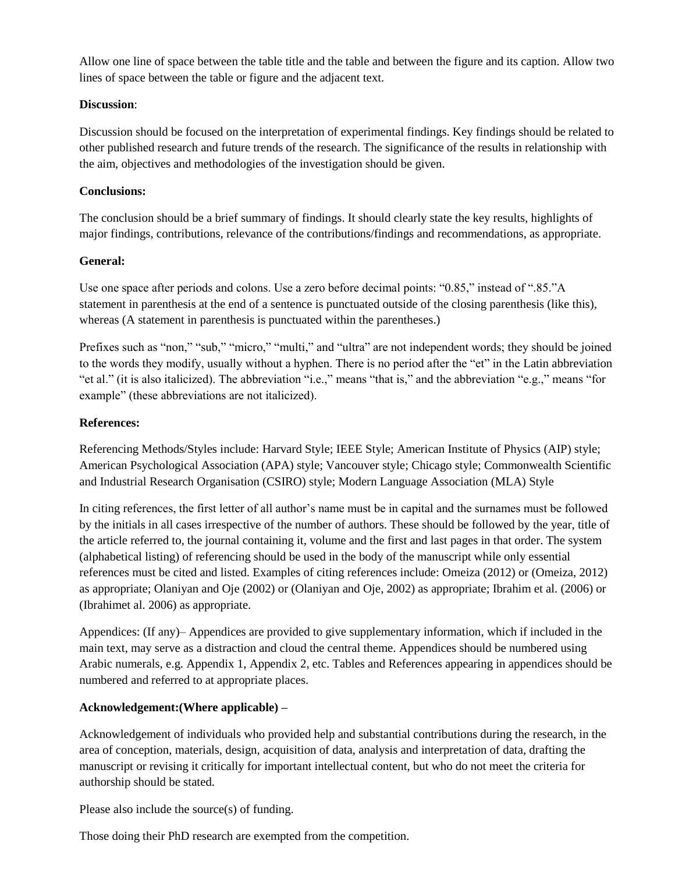Allow one line of space between the table title and the table and between the figure and its caption. Allow two lines of space between the table or figure and the adjacent text.

## **Discussion**:

Discussion should be focused on the interpretation of experimental findings. Key findings should be related to other published research and future trends of the research. The significance of the results in relationship with the aim, objectives and methodologies of the investigation should be given.

## **Conclusions:**

The conclusion should be a brief summary of findings. It should clearly state the key results, highlights of major findings, contributions, relevance of the contributions/findings and recommendations, as appropriate.

## **General:**

Use one space after periods and colons. Use a zero before decimal points: "0.85," instead of ".85."A statement in parenthesis at the end of a sentence is punctuated outside of the closing parenthesis (like this), whereas (A statement in parenthesis is punctuated within the parentheses.)

Prefixes such as "non," "sub," "micro," "multi," and "ultra" are not independent words; they should be joined to the words they modify, usually without a hyphen. There is no period after the "et" in the Latin abbreviation "et al." (it is also italicized). The abbreviation "i.e.," means "that is," and the abbreviation "e.g.," means "for example" (these abbreviations are not italicized).

## **References:**

Referencing Methods/Styles include: Harvard Style; IEEE Style; American Institute of Physics (AIP) style; American Psychological Association (APA) style; Vancouver style; Chicago style; Commonwealth Scientific and Industrial Research Organisation (CSIRO) style; Modern Language Association (MLA) Style

In citing references, the first letter of all author's name must be in capital and the surnames must be followed by the initials in all cases irrespective of the number of authors. These should be followed by the year, title of the article referred to, the journal containing it, volume and the first and last pages in that order. The system (alphabetical listing) of referencing should be used in the body of the manuscript while only essential references must be cited and listed. Examples of citing references include: Omeiza (2012) or (Omeiza, 2012) as appropriate; Olaniyan and Oje (2002) or (Olaniyan and Oje, 2002) as appropriate; Ibrahim et al. (2006) or (Ibrahimet al. 2006) as appropriate.

Appendices: (If any)– Appendices are provided to give supplementary information, which if included in the main text, may serve as a distraction and cloud the central theme. Appendices should be numbered using Arabic numerals, e.g. Appendix 1, Appendix 2, etc. Tables and References appearing in appendices should be numbered and referred to at appropriate places.

## **Acknowledgement:(Where applicable) –**

Acknowledgement of individuals who provided help and substantial contributions during the research, in the area of conception, materials, design, acquisition of data, analysis and interpretation of data, drafting the manuscript or revising it critically for important intellectual content, but who do not meet the criteria for authorship should be stated.

Please also include the source(s) of funding.

Those doing their PhD research are exempted from the competition.